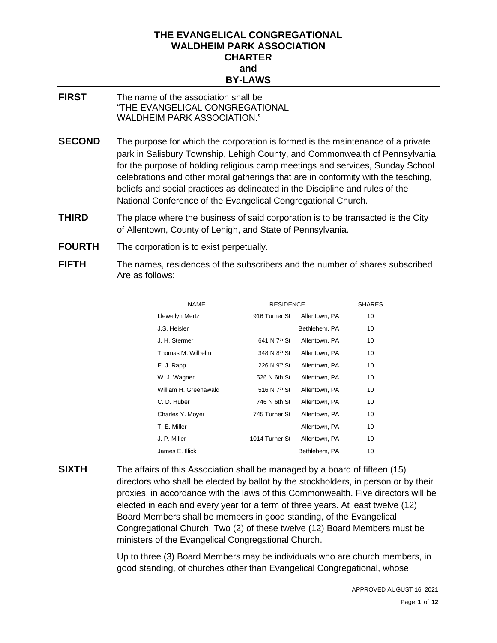#### **THE EVANGELICAL CONGREGATIONAL WALDHEIM PARK ASSOCIATION CHARTER and BY-LAWS**

- **FIRST** The name of the association shall be "THE EVANGELICAL CONGREGATIONAL WALDHEIM PARK ASSOCIATION."
- **SECOND** The purpose for which the corporation is formed is the maintenance of a private park in Salisbury Township, Lehigh County, and Commonwealth of Pennsylvania for the purpose of holding religious camp meetings and services, Sunday School celebrations and other moral gatherings that are in conformity with the teaching, beliefs and social practices as delineated in the Discipline and rules of the National Conference of the Evangelical Congregational Church.
- **THIRD** The place where the business of said corporation is to be transacted is the City of Allentown, County of Lehigh, and State of Pennsylvania.
- **FOURTH** The corporation is to exist perpetually.
- **FIFTH** The names, residences of the subscribers and the number of shares subscribed Are as follows:

| <b>NAME</b>            | <b>RESIDENCE</b>         |               | <b>SHARES</b> |
|------------------------|--------------------------|---------------|---------------|
| <b>Llewellyn Mertz</b> | 916 Turner St            | Allentown, PA | 10            |
| J.S. Heisler           |                          | Bethlehem, PA | 10            |
| J. H. Stermer          | 641 N 7 <sup>th</sup> St | Allentown, PA | 10            |
| Thomas M. Wilhelm      | 348 N 8 <sup>th</sup> St | Allentown, PA | 10            |
| E. J. Rapp             | 226 N $9th$ St           | Allentown, PA | 10            |
| W. J. Wagner           | 526 N 6th St             | Allentown, PA | 10            |
| William H. Greenawald  | 516 N 7 <sup>th</sup> St | Allentown, PA | 10            |
| C. D. Huber            | 746 N 6th St             | Allentown, PA | 10            |
| Charles Y. Moyer       | 745 Turner St            | Allentown, PA | 10            |
| T. E. Miller           |                          | Allentown, PA | 10            |
| J. P. Miller           | 1014 Turner St           | Allentown, PA | 10            |
| James E. Illick        |                          | Bethlehem, PA | 10            |

**SIXTH** The affairs of this Association shall be managed by a board of fifteen (15) directors who shall be elected by ballot by the stockholders, in person or by their proxies, in accordance with the laws of this Commonwealth. Five directors will be elected in each and every year for a term of three years. At least twelve (12) Board Members shall be members in good standing, of the Evangelical Congregational Church. Two (2) of these twelve (12) Board Members must be ministers of the Evangelical Congregational Church.

> Up to three (3) Board Members may be individuals who are church members, in good standing, of churches other than Evangelical Congregational, whose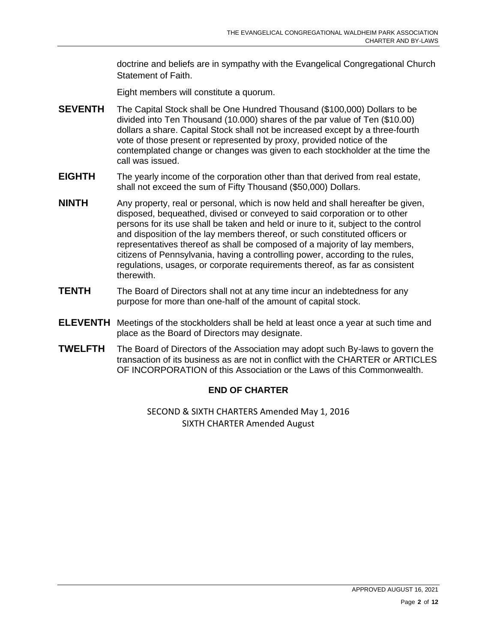doctrine and beliefs are in sympathy with the Evangelical Congregational Church Statement of Faith.

Eight members will constitute a quorum.

- **SEVENTH** The Capital Stock shall be One Hundred Thousand (\$100,000) Dollars to be divided into Ten Thousand (10.000) shares of the par value of Ten (\$10.00) dollars a share. Capital Stock shall not be increased except by a three-fourth vote of those present or represented by proxy, provided notice of the contemplated change or changes was given to each stockholder at the time the call was issued.
- **EIGHTH** The yearly income of the corporation other than that derived from real estate, shall not exceed the sum of Fifty Thousand (\$50,000) Dollars.
- **NINTH** Any property, real or personal, which is now held and shall hereafter be given, disposed, bequeathed, divised or conveyed to said corporation or to other persons for its use shall be taken and held or inure to it, subject to the control and disposition of the lay members thereof, or such constituted officers or representatives thereof as shall be composed of a majority of lay members, citizens of Pennsylvania, having a controlling power, according to the rules, regulations, usages, or corporate requirements thereof, as far as consistent therewith.
- **TENTH** The Board of Directors shall not at any time incur an indebtedness for any purpose for more than one-half of the amount of capital stock.
- **ELEVENTH** Meetings of the stockholders shall be held at least once a year at such time and place as the Board of Directors may designate.
- **TWELFTH** The Board of Directors of the Association may adopt such By-laws to govern the transaction of its business as are not in conflict with the CHARTER or ARTICLES OF INCORPORATION of this Association or the Laws of this Commonwealth.

#### **END OF CHARTER**

SECOND & SIXTH CHARTERS Amended May 1, 2016 SIXTH CHARTER Amended August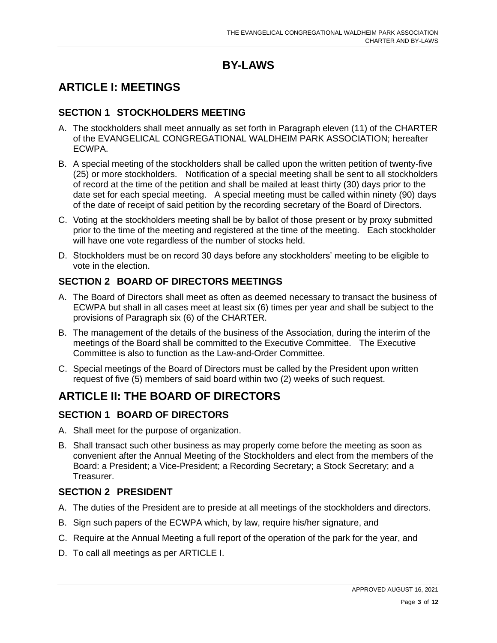## **BY-LAWS**

## **ARTICLE I: MEETINGS**

#### **SECTION 1 STOCKHOLDERS MEETING**

- A. The stockholders shall meet annually as set forth in Paragraph eleven (11) of the CHARTER of the EVANGELICAL CONGREGATIONAL WALDHEIM PARK ASSOCIATION; hereafter ECWPA.
- B. A special meeting of the stockholders shall be called upon the written petition of twenty-five (25) or more stockholders. Notification of a special meeting shall be sent to all stockholders of record at the time of the petition and shall be mailed at least thirty (30) days prior to the date set for each special meeting. A special meeting must be called within ninety (90) days of the date of receipt of said petition by the recording secretary of the Board of Directors.
- C. Voting at the stockholders meeting shall be by ballot of those present or by proxy submitted prior to the time of the meeting and registered at the time of the meeting. Each stockholder will have one vote regardless of the number of stocks held.
- D. Stockholders must be on record 30 days before any stockholders' meeting to be eligible to vote in the election.

## **SECTION 2 BOARD OF DIRECTORS MEETINGS**

- A. The Board of Directors shall meet as often as deemed necessary to transact the business of ECWPA but shall in all cases meet at least six (6) times per year and shall be subject to the provisions of Paragraph six (6) of the CHARTER.
- B. The management of the details of the business of the Association, during the interim of the meetings of the Board shall be committed to the Executive Committee. The Executive Committee is also to function as the Law-and-Order Committee.
- C. Special meetings of the Board of Directors must be called by the President upon written request of five (5) members of said board within two (2) weeks of such request.

# **ARTICLE II: THE BOARD OF DIRECTORS**

### **SECTION 1 BOARD OF DIRECTORS**

- A. Shall meet for the purpose of organization.
- B. Shall transact such other business as may properly come before the meeting as soon as convenient after the Annual Meeting of the Stockholders and elect from the members of the Board: a President; a Vice-President; a Recording Secretary; a Stock Secretary; and a Treasurer.

### **SECTION 2 PRESIDENT**

- A. The duties of the President are to preside at all meetings of the stockholders and directors.
- B. Sign such papers of the ECWPA which, by law, require his/her signature, and
- C. Require at the Annual Meeting a full report of the operation of the park for the year, and
- D. To call all meetings as per ARTICLE I.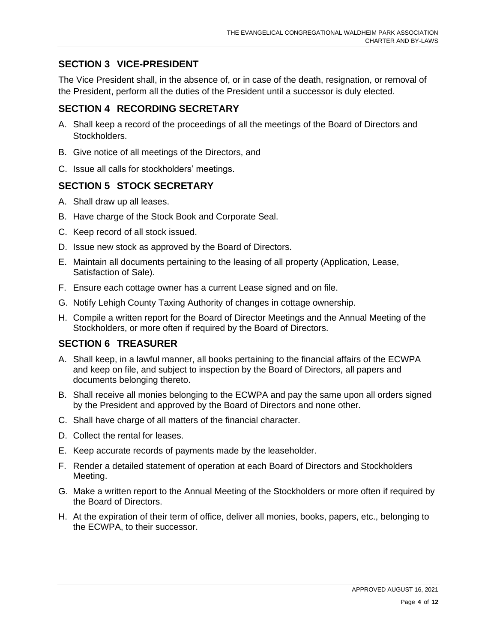### **SECTION 3 VICE-PRESIDENT**

The Vice President shall, in the absence of, or in case of the death, resignation, or removal of the President, perform all the duties of the President until a successor is duly elected.

## **SECTION 4 RECORDING SECRETARY**

- A. Shall keep a record of the proceedings of all the meetings of the Board of Directors and Stockholders.
- B. Give notice of all meetings of the Directors, and
- C. Issue all calls for stockholders' meetings.

### **SECTION 5 STOCK SECRETARY**

- A. Shall draw up all leases.
- B. Have charge of the Stock Book and Corporate Seal.
- C. Keep record of all stock issued.
- D. Issue new stock as approved by the Board of Directors.
- E. Maintain all documents pertaining to the leasing of all property (Application, Lease, Satisfaction of Sale).
- F. Ensure each cottage owner has a current Lease signed and on file.
- G. Notify Lehigh County Taxing Authority of changes in cottage ownership.
- H. Compile a written report for the Board of Director Meetings and the Annual Meeting of the Stockholders, or more often if required by the Board of Directors.

### **SECTION 6 TREASURER**

- A. Shall keep, in a lawful manner, all books pertaining to the financial affairs of the ECWPA and keep on file, and subject to inspection by the Board of Directors, all papers and documents belonging thereto.
- B. Shall receive all monies belonging to the ECWPA and pay the same upon all orders signed by the President and approved by the Board of Directors and none other.
- C. Shall have charge of all matters of the financial character.
- D. Collect the rental for leases.
- E. Keep accurate records of payments made by the leaseholder.
- F. Render a detailed statement of operation at each Board of Directors and Stockholders Meeting.
- G. Make a written report to the Annual Meeting of the Stockholders or more often if required by the Board of Directors.
- H. At the expiration of their term of office, deliver all monies, books, papers, etc., belonging to the ECWPA, to their successor.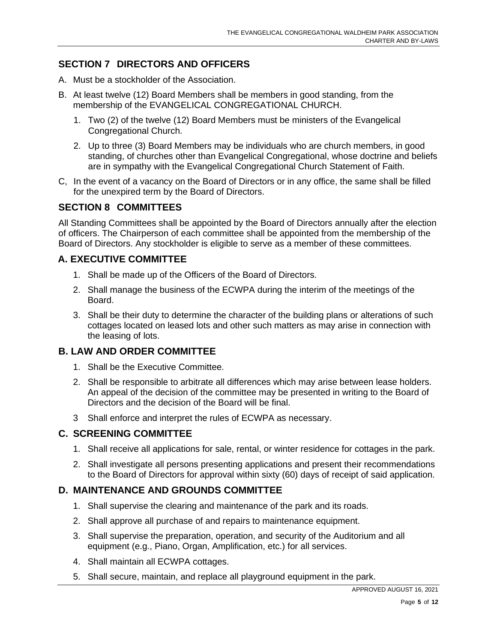## **SECTION 7 DIRECTORS AND OFFICERS**

- A. Must be a stockholder of the Association.
- B. At least twelve (12) Board Members shall be members in good standing, from the membership of the EVANGELICAL CONGREGATIONAL CHURCH.
	- 1. Two (2) of the twelve (12) Board Members must be ministers of the Evangelical Congregational Church.
	- 2. Up to three (3) Board Members may be individuals who are church members, in good standing, of churches other than Evangelical Congregational, whose doctrine and beliefs are in sympathy with the Evangelical Congregational Church Statement of Faith.
- C, In the event of a vacancy on the Board of Directors or in any office, the same shall be filled for the unexpired term by the Board of Directors.

#### **SECTION 8 COMMITTEES**

All Standing Committees shall be appointed by the Board of Directors annually after the election of officers. The Chairperson of each committee shall be appointed from the membership of the Board of Directors. Any stockholder is eligible to serve as a member of these committees.

### **A. EXECUTIVE COMMITTEE**

- 1. Shall be made up of the Officers of the Board of Directors.
- 2. Shall manage the business of the ECWPA during the interim of the meetings of the Board.
- 3. Shall be their duty to determine the character of the building plans or alterations of such cottages located on leased lots and other such matters as may arise in connection with the leasing of lots.

#### **B. LAW AND ORDER COMMITTEE**

- 1. Shall be the Executive Committee.
- 2. Shall be responsible to arbitrate all differences which may arise between lease holders. An appeal of the decision of the committee may be presented in writing to the Board of Directors and the decision of the Board will be final.
- 3 Shall enforce and interpret the rules of ECWPA as necessary.

#### **C. SCREENING COMMITTEE**

- 1. Shall receive all applications for sale, rental, or winter residence for cottages in the park.
- 2. Shall investigate all persons presenting applications and present their recommendations to the Board of Directors for approval within sixty (60) days of receipt of said application.

#### **D. MAINTENANCE AND GROUNDS COMMITTEE**

- 1. Shall supervise the clearing and maintenance of the park and its roads.
- 2. Shall approve all purchase of and repairs to maintenance equipment.
- 3. Shall supervise the preparation, operation, and security of the Auditorium and all equipment (e.g., Piano, Organ, Amplification, etc.) for all services.
- 4. Shall maintain all ECWPA cottages.
- 5. Shall secure, maintain, and replace all playground equipment in the park.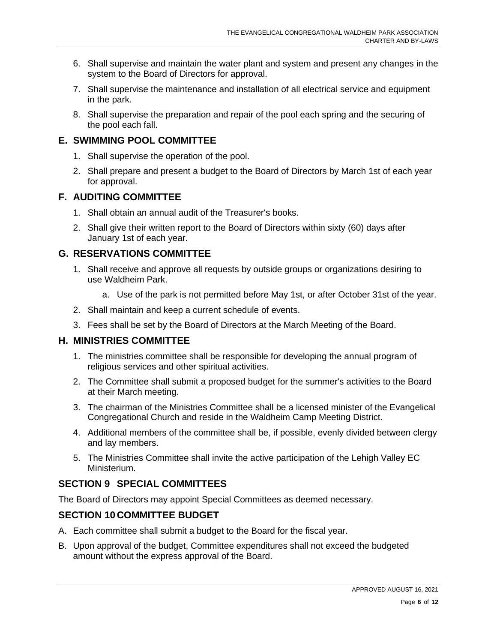- 6. Shall supervise and maintain the water plant and system and present any changes in the system to the Board of Directors for approval.
- 7. Shall supervise the maintenance and installation of all electrical service and equipment in the park.
- 8. Shall supervise the preparation and repair of the pool each spring and the securing of the pool each fall.

#### **E. SWIMMING POOL COMMITTEE**

- 1. Shall supervise the operation of the pool.
- 2. Shall prepare and present a budget to the Board of Directors by March 1st of each year for approval.

#### **F. AUDITING COMMITTEE**

- 1. Shall obtain an annual audit of the Treasurer's books.
- 2. Shall give their written report to the Board of Directors within sixty (60) days after January 1st of each year.

### **G. RESERVATIONS COMMITTEE**

- 1. Shall receive and approve all requests by outside groups or organizations desiring to use Waldheim Park.
	- a. Use of the park is not permitted before May 1st, or after October 31st of the year.
- 2. Shall maintain and keep a current schedule of events.
- 3. Fees shall be set by the Board of Directors at the March Meeting of the Board.

### **H. MINISTRIES COMMITTEE**

- 1. The ministries committee shall be responsible for developing the annual program of religious services and other spiritual activities.
- 2. The Committee shall submit a proposed budget for the summer's activities to the Board at their March meeting.
- 3. The chairman of the Ministries Committee shall be a licensed minister of the Evangelical Congregational Church and reside in the Waldheim Camp Meeting District.
- 4. Additional members of the committee shall be, if possible, evenly divided between clergy and lay members.
- 5. The Ministries Committee shall invite the active participation of the Lehigh Valley EC Ministerium.

## **SECTION 9 SPECIAL COMMITTEES**

The Board of Directors may appoint Special Committees as deemed necessary.

### **SECTION 10 COMMITTEE BUDGET**

- A. Each committee shall submit a budget to the Board for the fiscal year.
- B. Upon approval of the budget, Committee expenditures shall not exceed the budgeted amount without the express approval of the Board.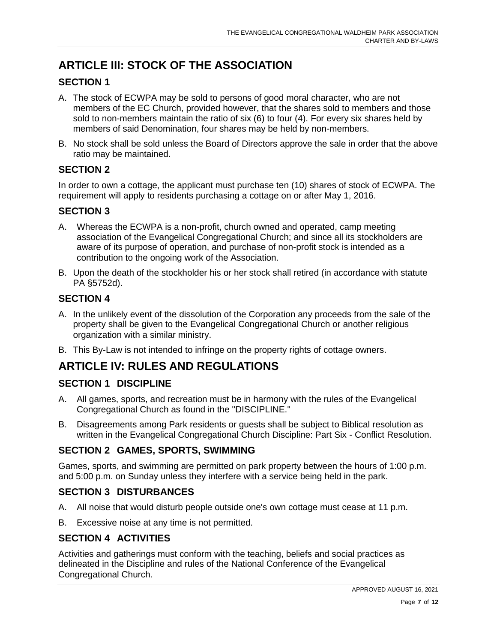# **ARTICLE III: STOCK OF THE ASSOCIATION**

## **SECTION 1**

- A. The stock of ECWPA may be sold to persons of good moral character, who are not members of the EC Church, provided however, that the shares sold to members and those sold to non-members maintain the ratio of six (6) to four (4). For every six shares held by members of said Denomination, four shares may be held by non-members.
- B. No stock shall be sold unless the Board of Directors approve the sale in order that the above ratio may be maintained.

### **SECTION 2**

In order to own a cottage, the applicant must purchase ten (10) shares of stock of ECWPA. The requirement will apply to residents purchasing a cottage on or after May 1, 2016.

### **SECTION 3**

- A. Whereas the ECWPA is a non-profit, church owned and operated, camp meeting association of the Evangelical Congregational Church; and since all its stockholders are aware of its purpose of operation, and purchase of non-profit stock is intended as a contribution to the ongoing work of the Association.
- B. Upon the death of the stockholder his or her stock shall retired (in accordance with statute PA §5752d).

## **SECTION 4**

- A. In the unlikely event of the dissolution of the Corporation any proceeds from the sale of the property shall be given to the Evangelical Congregational Church or another religious organization with a similar ministry.
- B. This By-Law is not intended to infringe on the property rights of cottage owners.

## **ARTICLE IV: RULES AND REGULATIONS**

### **SECTION 1 DISCIPLINE**

- A. All games, sports, and recreation must be in harmony with the rules of the Evangelical Congregational Church as found in the "DISCIPLINE."
- B. Disagreements among Park residents or guests shall be subject to Biblical resolution as written in the Evangelical Congregational Church Discipline: Part Six - Conflict Resolution.

### **SECTION 2 GAMES, SPORTS, SWIMMING**

Games, sports, and swimming are permitted on park property between the hours of 1:00 p.m. and 5:00 p.m. on Sunday unless they interfere with a service being held in the park.

#### **SECTION 3 DISTURBANCES**

- A. All noise that would disturb people outside one's own cottage must cease at 11 p.m.
- B. Excessive noise at any time is not permitted.

### **SECTION 4 ACTIVITIES**

Activities and gatherings must conform with the teaching, beliefs and social practices as delineated in the Discipline and rules of the National Conference of the Evangelical Congregational Church.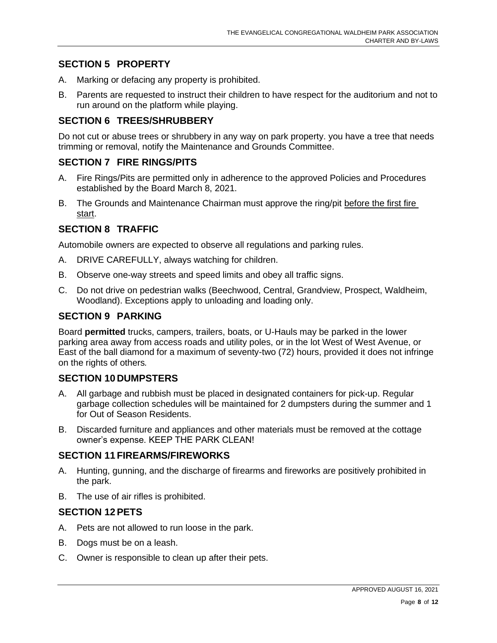#### **SECTION 5 PROPERTY**

- A. Marking or defacing any property is prohibited.
- B. Parents are requested to instruct their children to have respect for the auditorium and not to run around on the platform while playing.

#### **SECTION 6 TREES/SHRUBBERY**

Do not cut or abuse trees or shrubbery in any way on park property. you have a tree that needs trimming or removal, notify the Maintenance and Grounds Committee.

#### **SECTION 7 FIRE RINGS/PITS**

- A. Fire Rings/Pits are permitted only in adherence to the approved Policies and Procedures established by the Board March 8, 2021.
- B. The Grounds and Maintenance Chairman must approve the ring/pit before the first fire start.

#### **SECTION 8 TRAFFIC**

Automobile owners are expected to observe all regulations and parking rules.

- A. DRIVE CAREFULLY, always watching for children.
- B. Observe one-way streets and speed limits and obey all traffic signs.
- C. Do not drive on pedestrian walks (Beechwood, Central, Grandview, Prospect, Waldheim, Woodland). Exceptions apply to unloading and loading only.

#### **SECTION 9 PARKING**

Board **permitted** trucks, campers, trailers, boats, or U-Hauls may be parked in the lower parking area away from access roads and utility poles, or in the lot West of West Avenue, or East of the ball diamond for a maximum of seventy-two (72) hours, provided it does not infringe on the rights of others*.*

#### **SECTION 10 DUMPSTERS**

- A. All garbage and rubbish must be placed in designated containers for pick-up. Regular garbage collection schedules will be maintained for 2 dumpsters during the summer and 1 for Out of Season Residents.
- B. Discarded furniture and appliances and other materials must be removed at the cottage owner's expense. KEEP THE PARK CLEAN!

#### **SECTION 11 FIREARMS/FIREWORKS**

- A. Hunting, gunning, and the discharge of firearms and fireworks are positively prohibited in the park.
- B. The use of air rifles is prohibited.

#### **SECTION 12PETS**

- A. Pets are not allowed to run loose in the park.
- B. Dogs must be on a leash.
- C. Owner is responsible to clean up after their pets.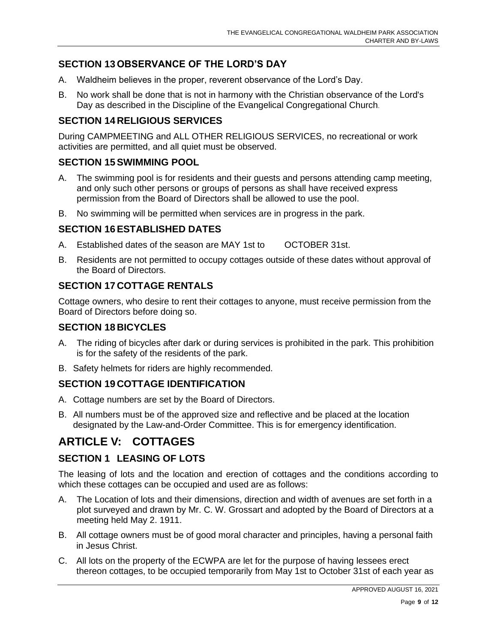## **SECTION 13 OBSERVANCE OF THE LORD'S DAY**

- A. Waldheim believes in the proper, reverent observance of the Lord's Day.
- B. No work shall be done that is not in harmony with the Christian observance of the Lord's Day as described in the Discipline of the Evangelical Congregational Church.

## **SECTION 14 RELIGIOUS SERVICES**

During CAMPMEETING and ALL OTHER RELIGIOUS SERVICES, no recreational or work activities are permitted, and all quiet must be observed.

#### **SECTION 15SWIMMING POOL**

- A. The swimming pool is for residents and their guests and persons attending camp meeting, and only such other persons or groups of persons as shall have received express permission from the Board of Directors shall be allowed to use the pool.
- B. No swimming will be permitted when services are in progress in the park.

## **SECTION 16ESTABLISHED DATES**

- A. Established dates of the season are MAY 1st to OCTOBER 31st.
- B. Residents are not permitted to occupy cottages outside of these dates without approval of the Board of Directors.

## **SECTION 17 COTTAGE RENTALS**

Cottage owners, who desire to rent their cottages to anyone, must receive permission from the Board of Directors before doing so.

#### **SECTION 18 BICYCLES**

- A. The riding of bicycles after dark or during services is prohibited in the park. This prohibition is for the safety of the residents of the park.
- B. Safety helmets for riders are highly recommended.

### **SECTION 19 COTTAGE IDENTIFICATION**

- A. Cottage numbers are set by the Board of Directors.
- B. All numbers must be of the approved size and reflective and be placed at the location designated by the Law-and-Order Committee. This is for emergency identification.

## **ARTICLE V: COTTAGES**

## **SECTION 1 LEASING OF LOTS**

The leasing of lots and the location and erection of cottages and the conditions according to which these cottages can be occupied and used are as follows:

- A. The Location of lots and their dimensions, direction and width of avenues are set forth in a plot surveyed and drawn by Mr. C. W. Grossart and adopted by the Board of Directors at a meeting held May 2. 1911.
- B. All cottage owners must be of good moral character and principles, having a personal faith in Jesus Christ.
- C. All lots on the property of the ECWPA are let for the purpose of having lessees erect thereon cottages, to be occupied temporarily from May 1st to October 31st of each year as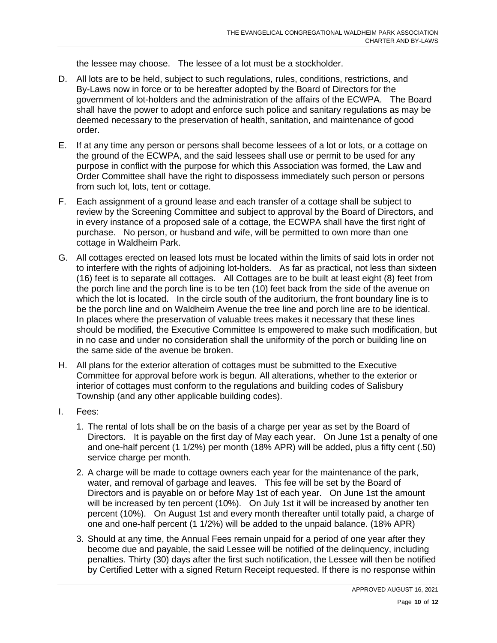the lessee may choose. The lessee of a lot must be a stockholder.

- D. All lots are to be held, subject to such regulations, rules, conditions, restrictions, and By-Laws now in force or to be hereafter adopted by the Board of Directors for the government of lot-holders and the administration of the affairs of the ECWPA. The Board shall have the power to adopt and enforce such police and sanitary regulations as may be deemed necessary to the preservation of health, sanitation, and maintenance of good order.
- E. If at any time any person or persons shall become lessees of a lot or lots, or a cottage on the ground of the ECWPA, and the said lessees shall use or permit to be used for any purpose in conflict with the purpose for which this Association was formed, the Law and Order Committee shall have the right to dispossess immediately such person or persons from such lot, lots, tent or cottage.
- F. Each assignment of a ground lease and each transfer of a cottage shall be subject to review by the Screening Committee and subject to approval by the Board of Directors, and in every instance of a proposed sale of a cottage, the ECWPA shall have the first right of purchase. No person, or husband and wife, will be permitted to own more than one cottage in Waldheim Park.
- G. All cottages erected on leased lots must be located within the limits of said lots in order not to interfere with the rights of adjoining lot-holders. As far as practical, not less than sixteen (16) feet is to separate all cottages. All Cottages are to be built at least eight (8) feet from the porch line and the porch line is to be ten (10) feet back from the side of the avenue on which the lot is located. In the circle south of the auditorium, the front boundary line is to be the porch line and on Waldheim Avenue the tree line and porch line are to be identical. In places where the preservation of valuable trees makes it necessary that these lines should be modified, the Executive Committee Is empowered to make such modification, but in no case and under no consideration shall the uniformity of the porch or building line on the same side of the avenue be broken.
- H. All plans for the exterior alteration of cottages must be submitted to the Executive Committee for approval before work is begun. All alterations, whether to the exterior or interior of cottages must conform to the regulations and building codes of Salisbury Township (and any other applicable building codes).
- I. Fees:
	- 1. The rental of lots shall be on the basis of a charge per year as set by the Board of Directors. It is payable on the first day of May each year. On June 1st a penalty of one and one-half percent (1 1/2%) per month (18% APR) will be added, plus a fifty cent (.50) service charge per month.
	- 2. A charge will be made to cottage owners each year for the maintenance of the park, water, and removal of garbage and leaves. This fee will be set by the Board of Directors and is payable on or before May 1st of each year. On June 1st the amount will be increased by ten percent (10%). On July 1st it will be increased by another ten percent (10%). On August 1st and every month thereafter until totally paid, a charge of one and one-half percent (1 1/2%) will be added to the unpaid balance. (18% APR)
	- 3. Should at any time, the Annual Fees remain unpaid for a period of one year after they become due and payable, the said Lessee will be notified of the delinquency, including penalties. Thirty (30) days after the first such notification, the Lessee will then be notified by Certified Letter with a signed Return Receipt requested. If there is no response within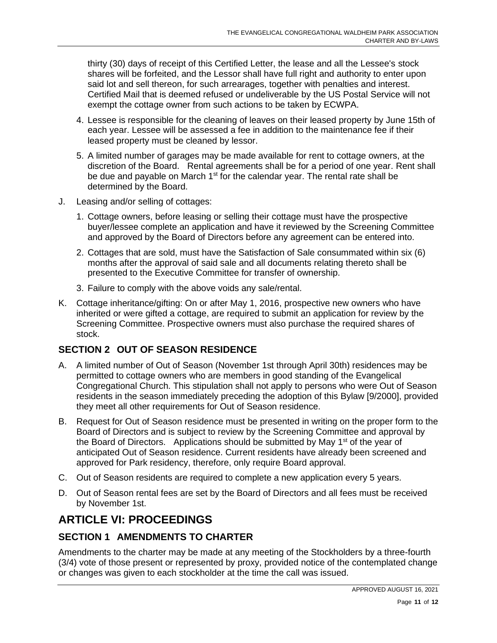thirty (30) days of receipt of this Certified Letter, the lease and all the Lessee's stock shares will be forfeited, and the Lessor shall have full right and authority to enter upon said lot and sell thereon, for such arrearages, together with penalties and interest. Certified Mail that is deemed refused or undeliverable by the US Postal Service will not exempt the cottage owner from such actions to be taken by ECWPA.

- 4. Lessee is responsible for the cleaning of leaves on their leased property by June 15th of each year. Lessee will be assessed a fee in addition to the maintenance fee if their leased property must be cleaned by lessor.
- 5. A limited number of garages may be made available for rent to cottage owners, at the discretion of the Board. Rental agreements shall be for a period of one year. Rent shall be due and payable on March  $1<sup>st</sup>$  for the calendar year. The rental rate shall be determined by the Board.
- J. Leasing and/or selling of cottages:
	- 1. Cottage owners, before leasing or selling their cottage must have the prospective buyer/lessee complete an application and have it reviewed by the Screening Committee and approved by the Board of Directors before any agreement can be entered into.
	- 2. Cottages that are sold, must have the Satisfaction of Sale consummated within six (6) months after the approval of said sale and all documents relating thereto shall be presented to the Executive Committee for transfer of ownership.
	- 3. Failure to comply with the above voids any sale/rental.
- K. Cottage inheritance/gifting: On or after May 1, 2016, prospective new owners who have inherited or were gifted a cottage, are required to submit an application for review by the Screening Committee. Prospective owners must also purchase the required shares of stock.

### **SECTION 2 OUT OF SEASON RESIDENCE**

- A. A limited number of Out of Season (November 1st through April 30th) residences may be permitted to cottage owners who are members in good standing of the Evangelical Congregational Church. This stipulation shall not apply to persons who were Out of Season residents in the season immediately preceding the adoption of this Bylaw [9/2000], provided they meet all other requirements for Out of Season residence.
- B. Request for Out of Season residence must be presented in writing on the proper form to the Board of Directors and is subject to review by the Screening Committee and approval by the Board of Directors. Applications should be submitted by May 1<sup>st</sup> of the year of anticipated Out of Season residence. Current residents have already been screened and approved for Park residency, therefore, only require Board approval.
- C. Out of Season residents are required to complete a new application every 5 years.
- D. Out of Season rental fees are set by the Board of Directors and all fees must be received by November 1st.

## **ARTICLE VI: PROCEEDINGS**

#### **SECTION 1 AMENDMENTS TO CHARTER**

Amendments to the charter may be made at any meeting of the Stockholders by a three-fourth (3/4) vote of those present or represented by proxy, provided notice of the contemplated change or changes was given to each stockholder at the time the call was issued.